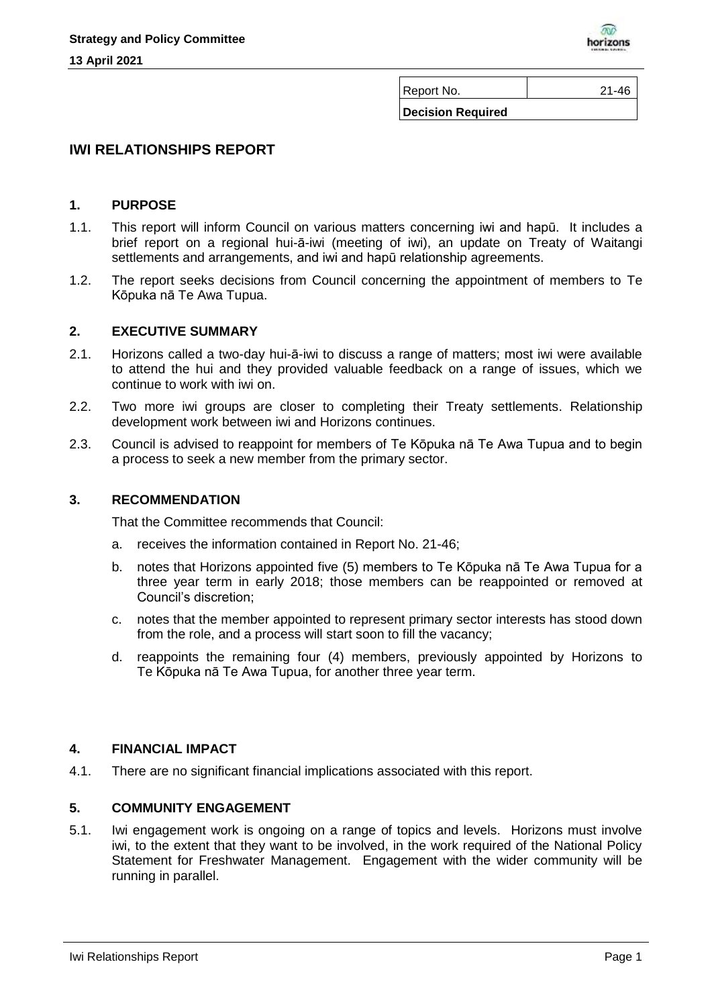

Report No. 21-46

**Decision Required**

# **IWI RELATIONSHIPS REPORT**

#### **1. PURPOSE**

- 1.1. This report will inform Council on various matters concerning iwi and hapū. It includes a brief report on a regional hui-ā-iwi (meeting of iwi), an update on Treaty of Waitangi settlements and arrangements, and iwi and hapū relationship agreements.
- 1.2. The report seeks decisions from Council concerning the appointment of members to Te Kōpuka nā Te Awa Tupua.

#### **2. EXECUTIVE SUMMARY**

- 2.1. Horizons called a two-day hui-ā-iwi to discuss a range of matters; most iwi were available to attend the hui and they provided valuable feedback on a range of issues, which we continue to work with iwi on.
- 2.2. Two more iwi groups are closer to completing their Treaty settlements. Relationship development work between iwi and Horizons continues.
- 2.3. Council is advised to reappoint for members of Te Kōpuka nā Te Awa Tupua and to begin a process to seek a new member from the primary sector.

### **3. RECOMMENDATION**

That the Committee recommends that Council:

- a. receives the information contained in Report No. 21-46;
- b. notes that Horizons appointed five (5) members to Te Kōpuka nā Te Awa Tupua for a three year term in early 2018; those members can be reappointed or removed at Council's discretion;
- c. notes that the member appointed to represent primary sector interests has stood down from the role, and a process will start soon to fill the vacancy;
- d. reappoints the remaining four (4) members, previously appointed by Horizons to Te Kōpuka nā Te Awa Tupua, for another three year term.

## **4. FINANCIAL IMPACT**

4.1. There are no significant financial implications associated with this report.

## **5. COMMUNITY ENGAGEMENT**

5.1. Iwi engagement work is ongoing on a range of topics and levels. Horizons must involve iwi, to the extent that they want to be involved, in the work required of the National Policy Statement for Freshwater Management. Engagement with the wider community will be running in parallel.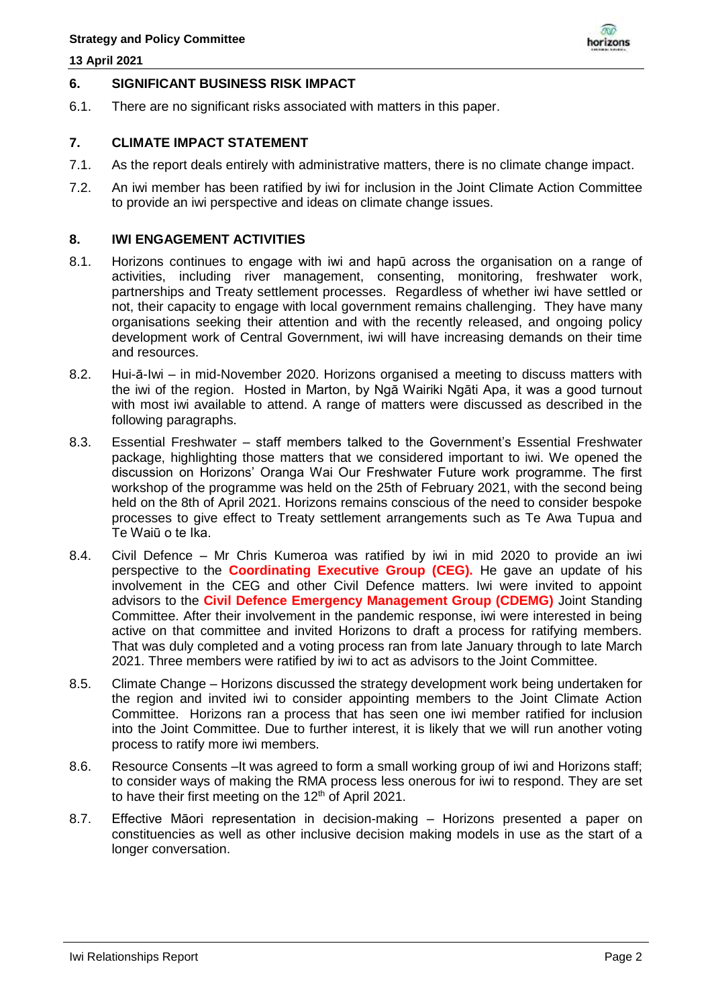#### **13 April 2021**



## **6. SIGNIFICANT BUSINESS RISK IMPACT**

6.1. There are no significant risks associated with matters in this paper.

## **7. CLIMATE IMPACT STATEMENT**

- 7.1. As the report deals entirely with administrative matters, there is no climate change impact.
- 7.2. An iwi member has been ratified by iwi for inclusion in the Joint Climate Action Committee to provide an iwi perspective and ideas on climate change issues.

### **8. IWI ENGAGEMENT ACTIVITIES**

- 8.1. Horizons continues to engage with iwi and hapū across the organisation on a range of activities, including river management, consenting, monitoring, freshwater work, partnerships and Treaty settlement processes. Regardless of whether iwi have settled or not, their capacity to engage with local government remains challenging. They have many organisations seeking their attention and with the recently released, and ongoing policy development work of Central Government, iwi will have increasing demands on their time and resources.
- 8.2. Hui-ā-Iwi in mid-November 2020. Horizons organised a meeting to discuss matters with the iwi of the region. Hosted in Marton, by Ngā Wairiki Ngāti Apa, it was a good turnout with most iwi available to attend. A range of matters were discussed as described in the following paragraphs.
- 8.3. Essential Freshwater staff members talked to the Government's Essential Freshwater package, highlighting those matters that we considered important to iwi. We opened the discussion on Horizons' Oranga Wai Our Freshwater Future work programme. The first workshop of the programme was held on the 25th of February 2021, with the second being held on the 8th of April 2021. Horizons remains conscious of the need to consider bespoke processes to give effect to Treaty settlement arrangements such as Te Awa Tupua and Te Waiū o te Ika.
- 8.4. Civil Defence Mr Chris Kumeroa was ratified by iwi in mid 2020 to provide an iwi perspective to the **Coordinating Executive Group (CEG).** He gave an update of his involvement in the CEG and other Civil Defence matters. Iwi were invited to appoint advisors to the **Civil Defence Emergency Management Group (CDEMG)** Joint Standing Committee. After their involvement in the pandemic response, iwi were interested in being active on that committee and invited Horizons to draft a process for ratifying members. That was duly completed and a voting process ran from late January through to late March 2021. Three members were ratified by iwi to act as advisors to the Joint Committee.
- 8.5. Climate Change Horizons discussed the strategy development work being undertaken for the region and invited iwi to consider appointing members to the Joint Climate Action Committee. Horizons ran a process that has seen one iwi member ratified for inclusion into the Joint Committee. Due to further interest, it is likely that we will run another voting process to ratify more iwi members.
- 8.6. Resource Consents –It was agreed to form a small working group of iwi and Horizons staff; to consider ways of making the RMA process less onerous for iwi to respond. They are set to have their first meeting on the 12<sup>th</sup> of April 2021.
- 8.7. Effective Māori representation in decision-making Horizons presented a paper on constituencies as well as other inclusive decision making models in use as the start of a longer conversation.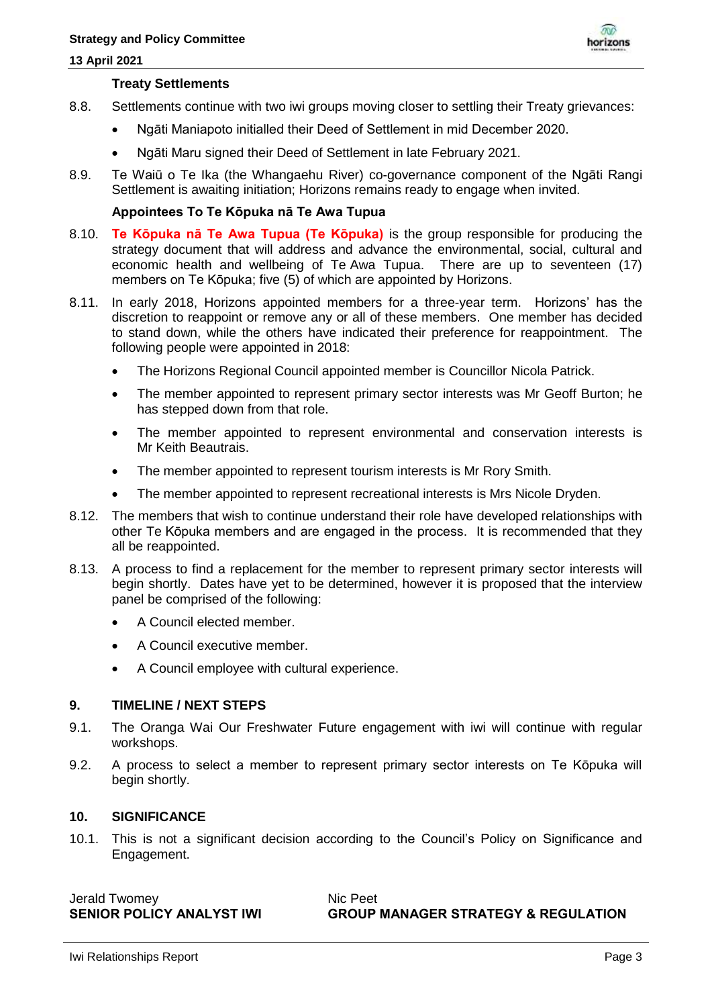

#### **Treaty Settlements**

- 8.8. Settlements continue with two iwi groups moving closer to settling their Treaty grievances:
	- Ngāti Maniapoto initialled their Deed of Settlement in mid December 2020.
	- Ngāti Maru signed their Deed of Settlement in late February 2021.
- 8.9. Te Waiū o Te Ika (the Whangaehu River) co-governance component of the Ngāti Rangi Settlement is awaiting initiation; Horizons remains ready to engage when invited.

## **Appointees To Te Kōpuka nā Te Awa Tupua**

- 8.10. **Te Kōpuka nā Te Awa Tupua (Te Kōpuka)** is the group responsible for producing the strategy document that will address and advance the environmental, social, cultural and economic health and wellbeing of Te Awa Tupua. There are up to seventeen (17) members on Te Kōpuka; five (5) of which are appointed by Horizons.
- 8.11. In early 2018, Horizons appointed members for a three-year term. Horizons' has the discretion to reappoint or remove any or all of these members. One member has decided to stand down, while the others have indicated their preference for reappointment. The following people were appointed in 2018:
	- The Horizons Regional Council appointed member is Councillor Nicola Patrick.
	- The member appointed to represent primary sector interests was Mr Geoff Burton; he has stepped down from that role.
	- The member appointed to represent environmental and conservation interests is Mr Keith Beautrais.
	- The member appointed to represent tourism interests is Mr Rory Smith.
	- The member appointed to represent recreational interests is Mrs Nicole Dryden.
- 8.12. The members that wish to continue understand their role have developed relationships with other Te Kōpuka members and are engaged in the process. It is recommended that they all be reappointed.
- 8.13. A process to find a replacement for the member to represent primary sector interests will begin shortly. Dates have yet to be determined, however it is proposed that the interview panel be comprised of the following:
	- A Council elected member.
	- A Council executive member.
	- A Council employee with cultural experience.

# **9. TIMELINE / NEXT STEPS**

- 9.1. The Oranga Wai Our Freshwater Future engagement with iwi will continue with regular workshops.
- 9.2. A process to select a member to represent primary sector interests on Te Kōpuka will begin shortly.

#### **10. SIGNIFICANCE**

10.1. This is not a significant decision according to the Council's Policy on Significance and Engagement.

Jerald Twomey Nic Peet

**GROUP MANAGER STRATEGY & REGULATION**